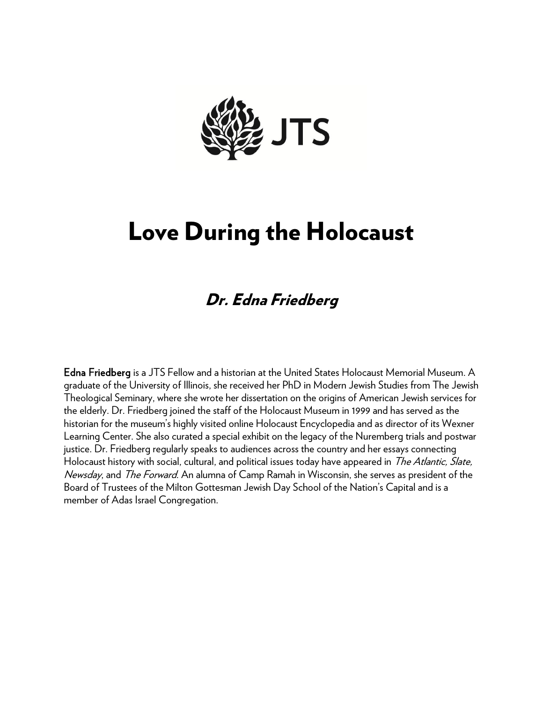

# Love During the Holocaust

## Dr. Edna Friedberg

Edna Friedberg is a JTS Fellow and a historian at the United States Holocaust Memorial Museum. A graduate of the University of Illinois, she received her PhD in Modern Jewish Studies from The Jewish Theological Seminary, where she wrote her dissertation on the origins of American Jewish services for the elderly. Dr. Friedberg joined the staff of the Holocaust Museum in 1999 and has served as the historian for the museum's highly visited online Holocaust Encyclopedia and as director of its Wexner Learning Center. She also curated a special exhibit on the legacy of the Nuremberg trials and postwar justice. Dr. Friedberg regularly speaks to audiences across the country and her essays connecting Holocaust history with social, cultural, and political issues today have appeared in *The Atlantic, Slate,* Newsday, and *The Forward*. An alumna of Camp Ramah in Wisconsin, she serves as president of the Board of Trustees of the Milton Gottesman Jewish Day School of the Nation's Capital and is a member of Adas Israel Congregation.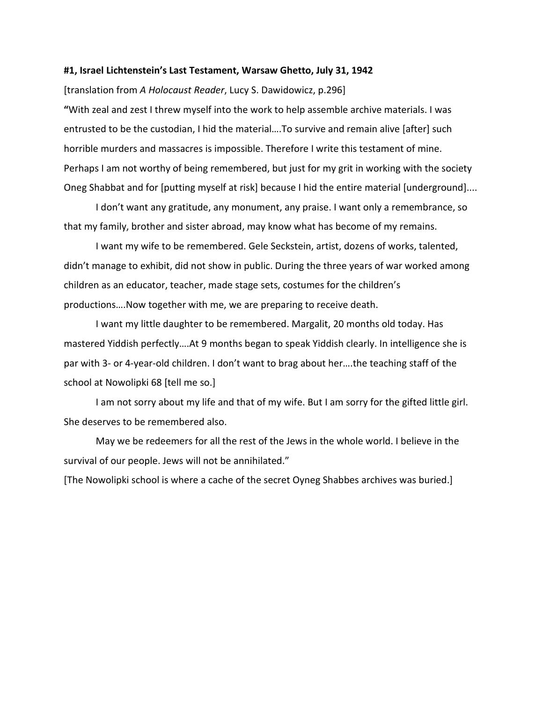#### **#1, Israel Lichtenstein's Last Testament, Warsaw Ghetto, July 31, 1942**

[translation from *A Holocaust Reader*, Lucy S. Dawidowicz, p.296]

**"**With zeal and zest I threw myself into the work to help assemble archive materials. I was entrusted to be the custodian, I hid the material….To survive and remain alive [after] such horrible murders and massacres is impossible. Therefore I write this testament of mine. Perhaps I am not worthy of being remembered, but just for my grit in working with the society Oneg Shabbat and for [putting myself at risk] because I hid the entire material [underground]....

I don't want any gratitude, any monument, any praise. I want only a remembrance, so that my family, brother and sister abroad, may know what has become of my remains.

I want my wife to be remembered. Gele Seckstein, artist, dozens of works, talented, didn't manage to exhibit, did not show in public. During the three years of war worked among children as an educator, teacher, made stage sets, costumes for the children's productions….Now together with me, we are preparing to receive death.

I want my little daughter to be remembered. Margalit, 20 months old today. Has mastered Yiddish perfectly….At 9 months began to speak Yiddish clearly. In intelligence she is par with 3- or 4-year-old children. I don't want to brag about her….the teaching staff of the school at Nowolipki 68 [tell me so.]

I am not sorry about my life and that of my wife. But I am sorry for the gifted little girl. She deserves to be remembered also.

May we be redeemers for all the rest of the Jews in the whole world. I believe in the survival of our people. Jews will not be annihilated."

[The Nowolipki school is where a cache of the secret Oyneg Shabbes archives was buried.]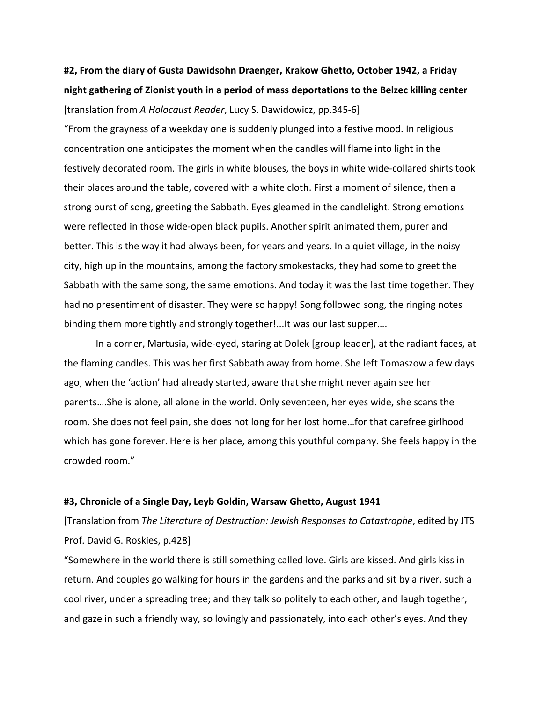### **#2, From the diary of Gusta Dawidsohn Draenger, Krakow Ghetto, October 1942, a Friday night gathering of Zionist youth in a period of mass deportations to the Belzec killing center**

[translation from *A Holocaust Reader*, Lucy S. Dawidowicz, pp.345-6]

"From the grayness of a weekday one is suddenly plunged into a festive mood. In religious concentration one anticipates the moment when the candles will flame into light in the festively decorated room. The girls in white blouses, the boys in white wide-collared shirts took their places around the table, covered with a white cloth. First a moment of silence, then a strong burst of song, greeting the Sabbath. Eyes gleamed in the candlelight. Strong emotions were reflected in those wide-open black pupils. Another spirit animated them, purer and better. This is the way it had always been, for years and years. In a quiet village, in the noisy city, high up in the mountains, among the factory smokestacks, they had some to greet the Sabbath with the same song, the same emotions. And today it was the last time together. They had no presentiment of disaster. They were so happy! Song followed song, the ringing notes binding them more tightly and strongly together!...It was our last supper….

In a corner, Martusia, wide-eyed, staring at Dolek [group leader], at the radiant faces, at the flaming candles. This was her first Sabbath away from home. She left Tomaszow a few days ago, when the 'action' had already started, aware that she might never again see her parents….She is alone, all alone in the world. Only seventeen, her eyes wide, she scans the room. She does not feel pain, she does not long for her lost home…for that carefree girlhood which has gone forever. Here is her place, among this youthful company. She feels happy in the crowded room."

#### **#3, Chronicle of a Single Day, Leyb Goldin, Warsaw Ghetto, August 1941**

[Translation from *The Literature of Destruction: Jewish Responses to Catastrophe*, edited by JTS Prof. David G. Roskies, p.428]

"Somewhere in the world there is still something called love. Girls are kissed. And girls kiss in return. And couples go walking for hours in the gardens and the parks and sit by a river, such a cool river, under a spreading tree; and they talk so politely to each other, and laugh together, and gaze in such a friendly way, so lovingly and passionately, into each other's eyes. And they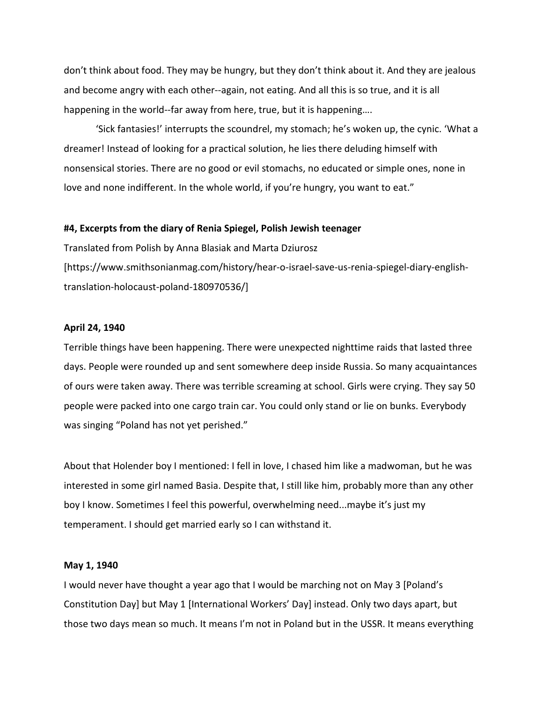don't think about food. They may be hungry, but they don't think about it. And they are jealous and become angry with each other--again, not eating. And all this is so true, and it is all happening in the world--far away from here, true, but it is happening….

'Sick fantasies!' interrupts the scoundrel, my stomach; he's woken up, the cynic. 'What a dreamer! Instead of looking for a practical solution, he lies there deluding himself with nonsensical stories. There are no good or evil stomachs, no educated or simple ones, none in love and none indifferent. In the whole world, if you're hungry, you want to eat."

#### **#4, Excerpts from the diary of Renia Spiegel, Polish Jewish teenager**

Translated from Polish by Anna Blasiak and Marta Dziurosz [https://www.smithsonianmag.com/history/hear-o-israel-save-us-renia-spiegel-diary-englishtranslation-holocaust-poland-180970536/]

#### **April 24, 1940**

Terrible things have been happening. There were unexpected nighttime raids that lasted three days. People were rounded up and sent somewhere deep inside Russia. So many acquaintances of ours were taken away. There was terrible screaming at school. Girls were crying. They say 50 people were packed into one cargo train car. You could only stand or lie on bunks. Everybody was singing "Poland has not yet perished."

About that Holender boy I mentioned: I fell in love, I chased him like a madwoman, but he was interested in some girl named Basia. Despite that, I still like him, probably more than any other boy I know. Sometimes I feel this powerful, overwhelming need...maybe it's just my temperament. I should get married early so I can withstand it.

#### **May 1, 1940**

I would never have thought a year ago that I would be marching not on May 3 [Poland's Constitution Day] but May 1 [International Workers' Day] instead. Only two days apart, but those two days mean so much. It means I'm not in Poland but in the USSR. It means everything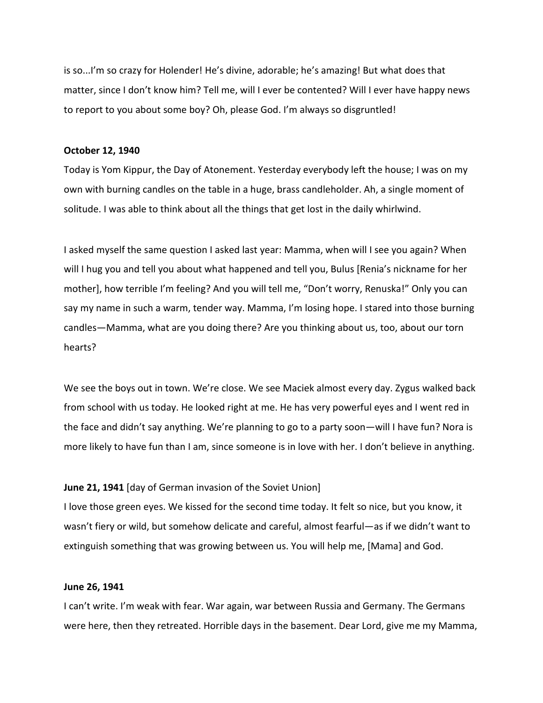is so...I'm so crazy for Holender! He's divine, adorable; he's amazing! But what does that matter, since I don't know him? Tell me, will I ever be contented? Will I ever have happy news to report to you about some boy? Oh, please God. I'm always so disgruntled!

#### **October 12, 1940**

Today is Yom Kippur, the Day of Atonement. Yesterday everybody left the house; I was on my own with burning candles on the table in a huge, brass candleholder. Ah, a single moment of solitude. I was able to think about all the things that get lost in the daily whirlwind.

I asked myself the same question I asked last year: Mamma, when will I see you again? When will I hug you and tell you about what happened and tell you, Bulus [Renia's nickname for her mother], how terrible I'm feeling? And you will tell me, "Don't worry, Renuska!" Only you can say my name in such a warm, tender way. Mamma, I'm losing hope. I stared into those burning candles—Mamma, what are you doing there? Are you thinking about us, too, about our torn hearts?

We see the boys out in town. We're close. We see Maciek almost every day. Zygus walked back from school with us today. He looked right at me. He has very powerful eyes and I went red in the face and didn't say anything. We're planning to go to a party soon—will I have fun? Nora is more likely to have fun than I am, since someone is in love with her. I don't believe in anything.

#### **June 21, 1941** [day of German invasion of the Soviet Union]

I love those green eyes. We kissed for the second time today. It felt so nice, but you know, it wasn't fiery or wild, but somehow delicate and careful, almost fearful—as if we didn't want to extinguish something that was growing between us. You will help me, [Mama] and God.

#### **June 26, 1941**

I can't write. I'm weak with fear. War again, war between Russia and Germany. The Germans were here, then they retreated. Horrible days in the basement. Dear Lord, give me my Mamma,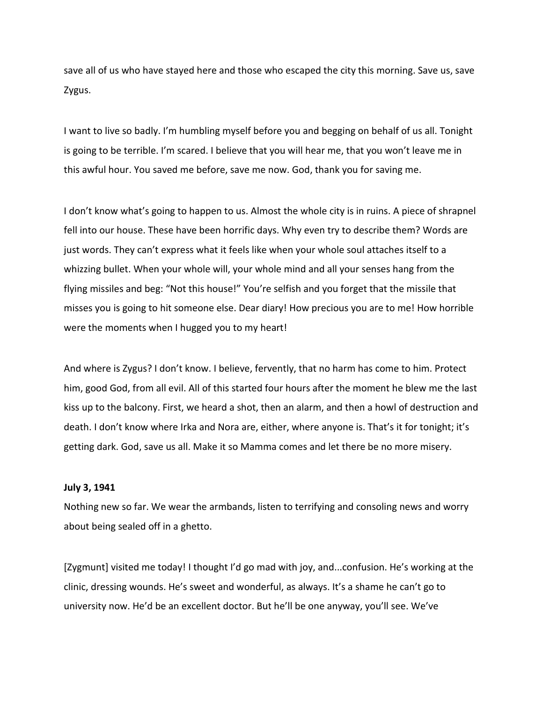save all of us who have stayed here and those who escaped the city this morning. Save us, save Zygus.

I want to live so badly. I'm humbling myself before you and begging on behalf of us all. Tonight is going to be terrible. I'm scared. I believe that you will hear me, that you won't leave me in this awful hour. You saved me before, save me now. God, thank you for saving me.

I don't know what's going to happen to us. Almost the whole city is in ruins. A piece of shrapnel fell into our house. These have been horrific days. Why even try to describe them? Words are just words. They can't express what it feels like when your whole soul attaches itself to a whizzing bullet. When your whole will, your whole mind and all your senses hang from the flying missiles and beg: "Not this house!" You're selfish and you forget that the missile that misses you is going to hit someone else. Dear diary! How precious you are to me! How horrible were the moments when I hugged you to my heart!

And where is Zygus? I don't know. I believe, fervently, that no harm has come to him. Protect him, good God, from all evil. All of this started four hours after the moment he blew me the last kiss up to the balcony. First, we heard a shot, then an alarm, and then a howl of destruction and death. I don't know where Irka and Nora are, either, where anyone is. That's it for tonight; it's getting dark. God, save us all. Make it so Mamma comes and let there be no more misery.

#### **July 3, 1941**

Nothing new so far. We wear the armbands, listen to terrifying and consoling news and worry about being sealed off in a ghetto.

[Zygmunt] visited me today! I thought I'd go mad with joy, and...confusion. He's working at the clinic, dressing wounds. He's sweet and wonderful, as always. It's a shame he can't go to university now. He'd be an excellent doctor. But he'll be one anyway, you'll see. We've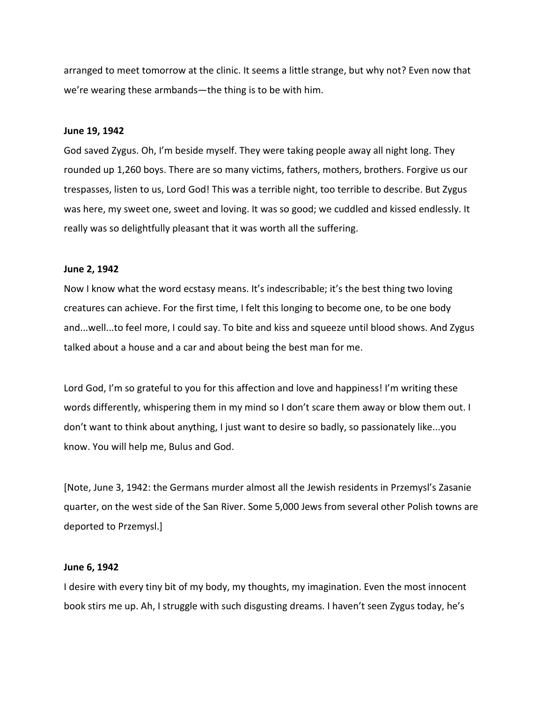arranged to meet tomorrow at the clinic. It seems a little strange, but why not? Even now that we're wearing these armbands—the thing is to be with him.

#### **June 19, 1942**

God saved Zygus. Oh, I'm beside myself. They were taking people away all night long. They rounded up 1,260 boys. There are so many victims, fathers, mothers, brothers. Forgive us our trespasses, listen to us, Lord God! This was a terrible night, too terrible to describe. But Zygus was here, my sweet one, sweet and loving. It was so good; we cuddled and kissed endlessly. It really was so delightfully pleasant that it was worth all the suffering.

#### **June 2, 1942**

Now I know what the word ecstasy means. It's indescribable; it's the best thing two loving creatures can achieve. For the first time, I felt this longing to become one, to be one body and...well...to feel more, I could say. To bite and kiss and squeeze until blood shows. And Zygus talked about a house and a car and about being the best man for me.

Lord God, I'm so grateful to you for this affection and love and happiness! I'm writing these words differently, whispering them in my mind so I don't scare them away or blow them out. I don't want to think about anything, I just want to desire so badly, so passionately like...you know. You will help me, Bulus and God.

[Note, June 3, 1942: the Germans murder almost all the Jewish residents in Przemysl's Zasanie quarter, on the west side of the San River. Some 5,000 Jews from several other Polish towns are deported to Przemysl.]

#### **June 6, 1942**

I desire with every tiny bit of my body, my thoughts, my imagination. Even the most innocent book stirs me up. Ah, I struggle with such disgusting dreams. I haven't seen Zygus today, he's